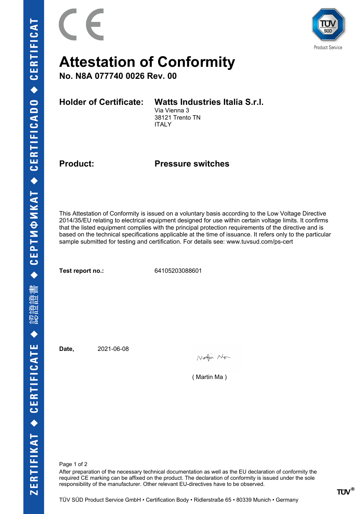



## **Attestation of Conformity**

**No. N8A 077740 0026 Rev. 00**

**Holder of Certificate: Watts Industries Italia S.r.l.**

Via Vienna 3 38121 Trento TN ITALY

**Product: Pressure switches**

This Attestation of Conformity is issued on a voluntary basis according to the Low Voltage Directive 2014/35/EU relating to electrical equipment designed for use within certain voltage limits. It confirms that the listed equipment complies with the principal protection requirements of the directive and is based on the technical specifications applicable at the time of issuance. It refers only to the particular sample submitted for testing and certification. For details see: www.tuvsud.com/ps-cert

**Test report no.:** 64105203088601

**Date,** 2021-06-08

Workin Ne

( Martin Ma )

Page 1 of 2

After preparation of the necessary technical documentation as well as the EU declaration of conformity the required CE marking can be affixed on the product. The declaration of conformity is issued under the sole responsibility of the manufacturer. Other relevant EU-directives have to be observed.